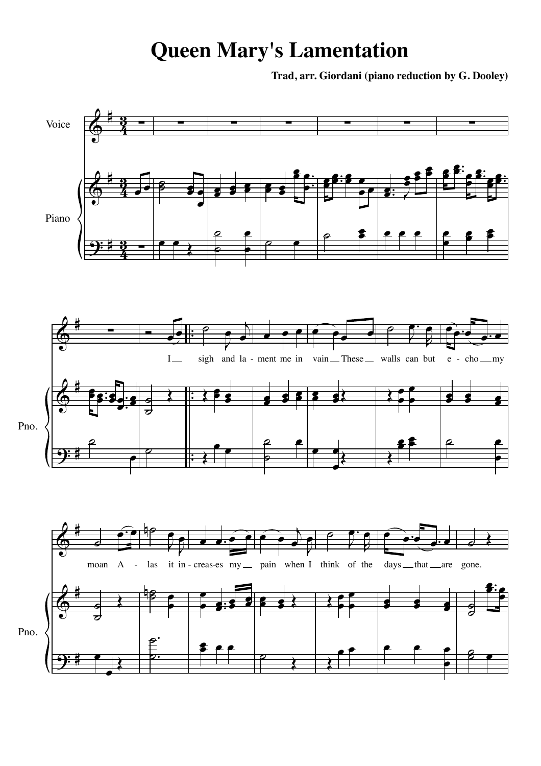## **Queen Mary's Lamentation**

**Trad, arr. Giordani (piano reduction by G. Dooley)**